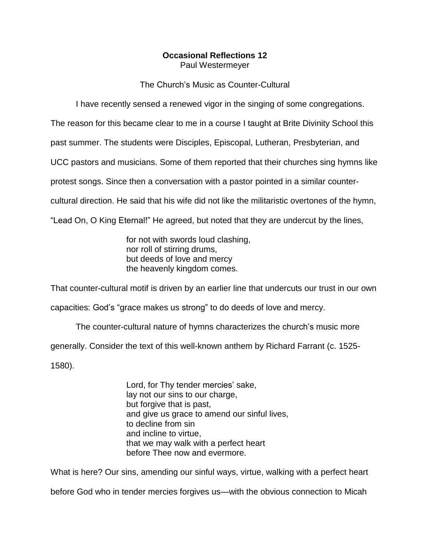## **Occasional Reflections 12** Paul Westermeyer

The Church's Music as Counter-Cultural

I have recently sensed a renewed vigor in the singing of some congregations.

The reason for this became clear to me in a course I taught at Brite Divinity School this

past summer. The students were Disciples, Episcopal, Lutheran, Presbyterian, and

UCC pastors and musicians. Some of them reported that their churches sing hymns like

protest songs. Since then a conversation with a pastor pointed in a similar counter-

cultural direction. He said that his wife did not like the militaristic overtones of the hymn,

"Lead On, O King Eternal!" He agreed, but noted that they are undercut by the lines,

for not with swords loud clashing, nor roll of stirring drums, but deeds of love and mercy the heavenly kingdom comes.

That counter-cultural motif is driven by an earlier line that undercuts our trust in our own

capacities: God's "grace makes us strong" to do deeds of love and mercy.

The counter-cultural nature of hymns characterizes the church's music more generally. Consider the text of this well-known anthem by Richard Farrant (c. 1525- 1580).

> Lord, for Thy tender mercies' sake, lay not our sins to our charge, but forgive that is past, and give us grace to amend our sinful lives, to decline from sin and incline to virtue, that we may walk with a perfect heart before Thee now and evermore.

What is here? Our sins, amending our sinful ways, virtue, walking with a perfect heart

before God who in tender mercies forgives us—with the obvious connection to Micah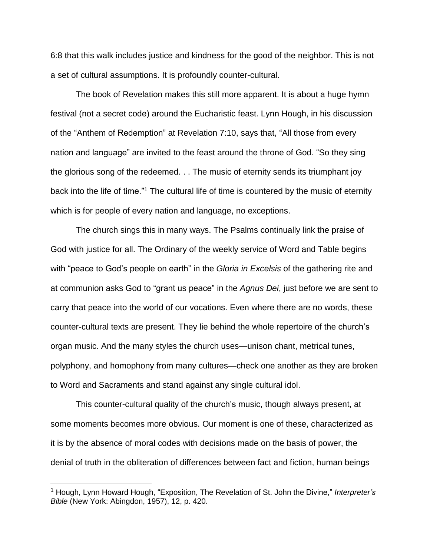6:8 that this walk includes justice and kindness for the good of the neighbor. This is not a set of cultural assumptions. It is profoundly counter-cultural.

The book of Revelation makes this still more apparent. It is about a huge hymn festival (not a secret code) around the Eucharistic feast. Lynn Hough, in his discussion of the "Anthem of Redemption" at Revelation 7:10, says that, "All those from every nation and language" are invited to the feast around the throne of God. "So they sing the glorious song of the redeemed. . . The music of eternity sends its triumphant joy back into the life of time."<sup>1</sup> The cultural life of time is countered by the music of eternity which is for people of every nation and language, no exceptions.

The church sings this in many ways. The Psalms continually link the praise of God with justice for all. The Ordinary of the weekly service of Word and Table begins with "peace to God's people on earth" in the *Gloria in Excelsis* of the gathering rite and at communion asks God to "grant us peace" in the *Agnus Dei*, just before we are sent to carry that peace into the world of our vocations. Even where there are no words, these counter-cultural texts are present. They lie behind the whole repertoire of the church's organ music. And the many styles the church uses—unison chant, metrical tunes, polyphony, and homophony from many cultures—check one another as they are broken to Word and Sacraments and stand against any single cultural idol.

This counter-cultural quality of the church's music, though always present, at some moments becomes more obvious. Our moment is one of these, characterized as it is by the absence of moral codes with decisions made on the basis of power, the denial of truth in the obliteration of differences between fact and fiction, human beings

 $\overline{a}$ 

<sup>1</sup> Hough, Lynn Howard Hough, "Exposition, The Revelation of St. John the Divine," *Interpreter's Bible* (New York: Abingdon, 1957), 12, p. 420.